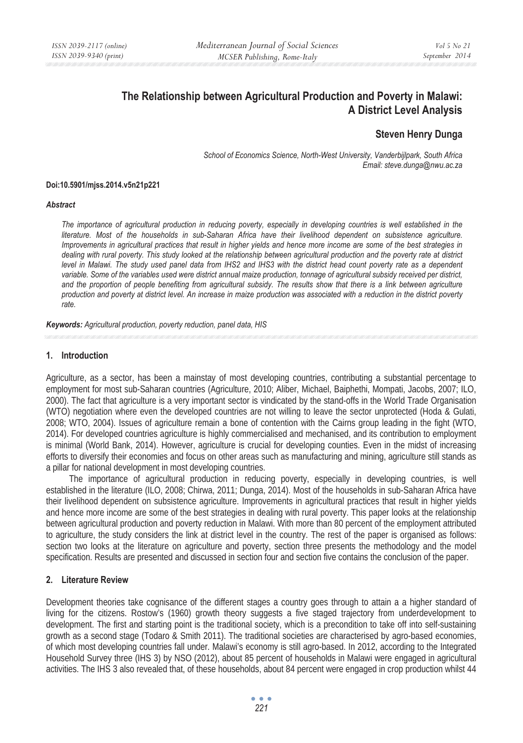# **The Relationship between Agricultural Production and Poverty in Malawi: A District Level Analysis**

## **Steven Henry Dunga**

*School of Economics Science, North-West University, Vanderbijlpark, South Africa Email: steve.dunga@nwu.ac.za* 

#### **Doi:10.5901/mjss.2014.v5n21p221**

#### *Abstract*

*The importance of agricultural production in reducing poverty, especially in developing countries is well established in the literature. Most of the households in sub-Saharan Africa have their livelihood dependent on subsistence agriculture. Improvements in agricultural practices that result in higher yields and hence more income are some of the best strategies in dealing with rural poverty. This study looked at the relationship between agricultural production and the poverty rate at district level in Malawi. The study used panel data from IHS2 and IHS3 with the district head count poverty rate as a dependent variable. Some of the variables used were district annual maize production, tonnage of agricultural subsidy received per district,*  and the proportion of people benefiting from agricultural subsidy. The results show that there is a link between agriculture *production and poverty at district level. An increase in maize production was associated with a reduction in the district poverty rate.* 

*Keywords: Agricultural production, poverty reduction, panel data, HIS*

#### **1. Introduction**

Agriculture, as a sector, has been a mainstay of most developing countries, contributing a substantial percentage to employment for most sub-Saharan countries (Agriculture, 2010; Aliber, Michael, Baiphethi, Mompati, Jacobs, 2007; ILO, 2000). The fact that agriculture is a very important sector is vindicated by the stand-offs in the World Trade Organisation (WTO) negotiation where even the developed countries are not willing to leave the sector unprotected (Hoda & Gulati, 2008; WTO, 2004). Issues of agriculture remain a bone of contention with the Cairns group leading in the fight (WTO, 2014). For developed countries agriculture is highly commercialised and mechanised, and its contribution to employment is minimal (World Bank, 2014). However, agriculture is crucial for developing counties. Even in the midst of increasing efforts to diversify their economies and focus on other areas such as manufacturing and mining, agriculture still stands as a pillar for national development in most developing countries.

The importance of agricultural production in reducing poverty, especially in developing countries, is well established in the literature (ILO, 2008; Chirwa, 2011; Dunga, 2014). Most of the households in sub-Saharan Africa have their livelihood dependent on subsistence agriculture. Improvements in agricultural practices that result in higher yields and hence more income are some of the best strategies in dealing with rural poverty. This paper looks at the relationship between agricultural production and poverty reduction in Malawi. With more than 80 percent of the employment attributed to agriculture, the study considers the link at district level in the country. The rest of the paper is organised as follows: section two looks at the literature on agriculture and poverty, section three presents the methodology and the model specification. Results are presented and discussed in section four and section five contains the conclusion of the paper.

#### **2. Literature Review**

Development theories take cognisance of the different stages a country goes through to attain a a higher standard of living for the citizens. Rostow's (1960) growth theory suggests a five staged trajectory from underdevelopment to development. The first and starting point is the traditional society, which is a precondition to take off into self-sustaining growth as a second stage (Todaro & Smith 2011). The traditional societies are characterised by agro-based economies, of which most developing countries fall under. Malawi's economy is still agro-based. In 2012, according to the Integrated Household Survey three (IHS 3) by NSO (2012), about 85 percent of households in Malawi were engaged in agricultural activities. The IHS 3 also revealed that, of these households, about 84 percent were engaged in crop production whilst 44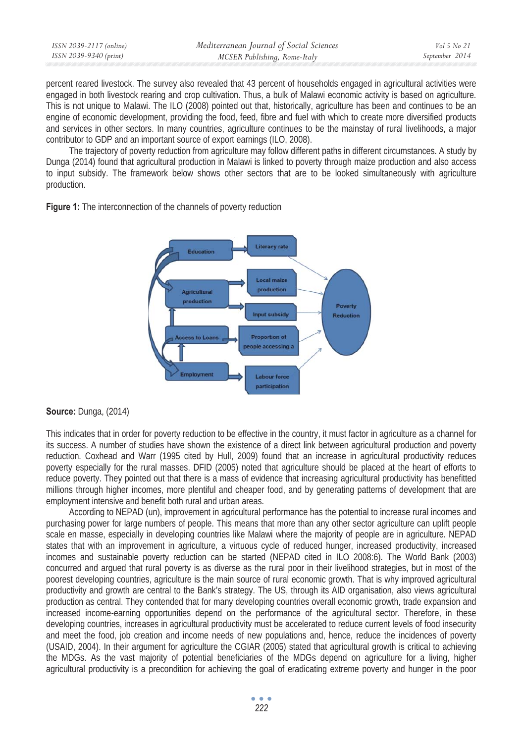| ISSN 2039-2117 (online) | Mediterranean Journal of Social Sciences | Vol 5 No 21    |
|-------------------------|------------------------------------------|----------------|
| ISSN 2039-9340 (print)  | MCSER Publishing, Rome-Italy             | September 2014 |
|                         |                                          |                |

percent reared livestock. The survey also revealed that 43 percent of households engaged in agricultural activities were engaged in both livestock rearing and crop cultivation. Thus, a bulk of Malawi economic activity is based on agriculture. This is not unique to Malawi. The ILO (2008) pointed out that, historically, agriculture has been and continues to be an engine of economic development, providing the food, feed, fibre and fuel with which to create more diversified products and services in other sectors. In many countries, agriculture continues to be the mainstay of rural livelihoods, a major contributor to GDP and an important source of export earnings (ILO, 2008).

The trajectory of poverty reduction from agriculture may follow different paths in different circumstances. A study by Dunga (2014) found that agricultural production in Malawi is linked to poverty through maize production and also access to input subsidy. The framework below shows other sectors that are to be looked simultaneously with agriculture production.



**Figure 1:** The interconnection of the channels of poverty reduction

#### **Source:** Dunga, (2014)

This indicates that in order for poverty reduction to be effective in the country, it must factor in agriculture as a channel for its success. A number of studies have shown the existence of a direct link between agricultural production and poverty reduction. Coxhead and Warr (1995 cited by Hull, 2009) found that an increase in agricultural productivity reduces poverty especially for the rural masses. DFID (2005) noted that agriculture should be placed at the heart of efforts to reduce poverty. They pointed out that there is a mass of evidence that increasing agricultural productivity has benefitted millions through higher incomes, more plentiful and cheaper food, and by generating patterns of development that are employment intensive and benefit both rural and urban areas.

According to NEPAD (un), improvement in agricultural performance has the potential to increase rural incomes and purchasing power for large numbers of people. This means that more than any other sector agriculture can uplift people scale en masse, especially in developing countries like Malawi where the majority of people are in agriculture. NEPAD states that with an improvement in agriculture, a virtuous cycle of reduced hunger, increased productivity, increased incomes and sustainable poverty reduction can be started (NEPAD cited in ILO 2008:6). The World Bank (2003) concurred and argued that rural poverty is as diverse as the rural poor in their livelihood strategies, but in most of the poorest developing countries, agriculture is the main source of rural economic growth. That is why improved agricultural productivity and growth are central to the Bank's strategy. The US, through its AID organisation, also views agricultural production as central. They contended that for many developing countries overall economic growth, trade expansion and increased income-earning opportunities depend on the performance of the agricultural sector. Therefore, in these developing countries, increases in agricultural productivity must be accelerated to reduce current levels of food insecurity and meet the food, job creation and income needs of new populations and, hence, reduce the incidences of poverty (USAID, 2004). In their argument for agriculture the CGIAR (2005) stated that agricultural growth is critical to achieving the MDGs. As the vast majority of potential beneficiaries of the MDGs depend on agriculture for a living, higher agricultural productivity is a precondition for achieving the goal of eradicating extreme poverty and hunger in the poor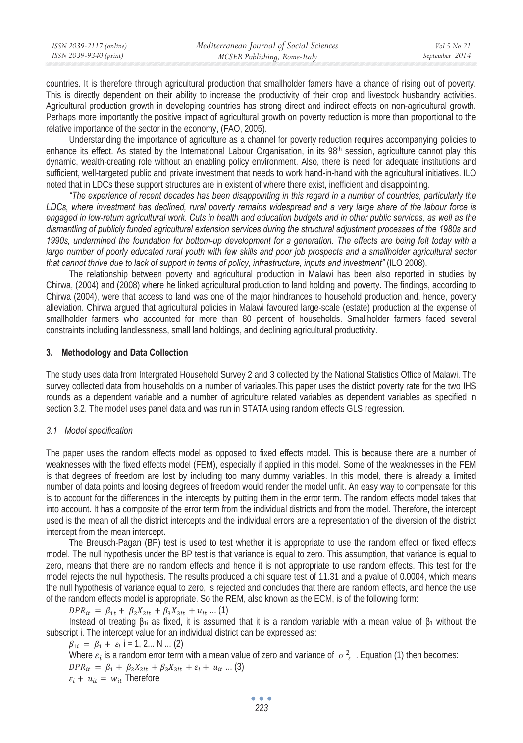| ISSN 2039-2117 (online) | Mediterranean Journal of Social Sciences | <i>Vol</i> 5 No 21 |
|-------------------------|------------------------------------------|--------------------|
| ISSN 2039-9340 (print)  | MCSER Publishing, Rome-Italy             | September 2014     |

countries. It is therefore through agricultural production that smallholder famers have a chance of rising out of poverty. This is directly dependent on their ability to increase the productivity of their crop and livestock husbandry activities. Agricultural production growth in developing countries has strong direct and indirect effects on non-agricultural growth. Perhaps more importantly the positive impact of agricultural growth on poverty reduction is more than proportional to the relative importance of the sector in the economy, (FAO, 2005).

Understanding the importance of agriculture as a channel for poverty reduction requires accompanying policies to enhance its effect. As stated by the International Labour Organisation, in its 98<sup>th</sup> session, agriculture cannot play this dynamic, wealth-creating role without an enabling policy environment. Also, there is need for adequate institutions and sufficient, well-targeted public and private investment that needs to work hand-in-hand with the agricultural initiatives. ILO noted that in LDCs these support structures are in existent of where there exist, inefficient and disappointing.

*"The experience of recent decades has been disappointing in this regard in a number of countries, particularly the LDCs, where investment has declined, rural poverty remains widespread and a very large share of the labour force is engaged in low-return agricultural work. Cuts in health and education budgets and in other public services, as well as the dismantling of publicly funded agricultural extension services during the structural adjustment processes of the 1980s and 1990s, undermined the foundation for bottom-up development for a generation. The effects are being felt today with a large number of poorly educated rural youth with few skills and poor job prospects and a smallholder agricultural sector that cannot thrive due to lack of support in terms of policy, infrastructure, inputs and investment"* (ILO 2008).

The relationship between poverty and agricultural production in Malawi has been also reported in studies by Chirwa, (2004) and (2008) where he linked agricultural production to land holding and poverty. The findings, according to Chirwa (2004), were that access to land was one of the major hindrances to household production and, hence, poverty alleviation. Chirwa argued that agricultural policies in Malawi favoured large-scale (estate) production at the expense of smallholder farmers who accounted for more than 80 percent of households. Smallholder farmers faced several constraints including landlessness, small land holdings, and declining agricultural productivity.

#### **3. Methodology and Data Collection**

The study uses data from Intergrated Household Survey 2 and 3 collected by the National Statistics Office of Malawi. The survey collected data from households on a number of variables.This paper uses the district poverty rate for the two IHS rounds as a dependent variable and a number of agriculture related variables as dependent variables as specified in section 3.2. The model uses panel data and was run in STATA using random effects GLS regression.

#### *3.1 Model specification*

The paper uses the random effects model as opposed to fixed effects model. This is because there are a number of weaknesses with the fixed effects model (FEM), especially if applied in this model. Some of the weaknesses in the FEM is that degrees of freedom are lost by including too many dummy variables. In this model, there is already a limited number of data points and loosing degrees of freedom would render the model unfit. An easy way to compensate for this is to account for the differences in the intercepts by putting them in the error term. The random effects model takes that into account. It has a composite of the error term from the individual districts and from the model. Therefore, the intercept used is the mean of all the district intercepts and the individual errors are a representation of the diversion of the district intercept from the mean intercept.

The Breusch-Pagan (BP) test is used to test whether it is appropriate to use the random effect or fixed effects model. The null hypothesis under the BP test is that variance is equal to zero. This assumption, that variance is equal to zero, means that there are no random effects and hence it is not appropriate to use random effects. This test for the model rejects the null hypothesis. The results produced a chi square test of 11.31 and a pvalue of 0.0004, which means the null hypothesis of variance equal to zero, is rejected and concludes that there are random effects, and hence the use of the random effects model is appropriate. So the REM, also known as the ECM, is of the following form:

 $DPR_{it} = \beta_{1t} + \beta_2 X_{2it} + \beta_3 X_{3it} + u_{it}$  ... (1)

Instead of treating  $\beta_{1i}$  as fixed, it is assumed that it is a random variable with a mean value of  $\beta_1$  without the subscript i. The intercept value for an individual district can be expressed as:

 $\beta_{1i} = \beta_1 + \varepsilon_i$  i = 1, 2... N ... (2) Where  $\varepsilon_i$  is a random error term with a mean value of zero and variance of  $\sigma_{\varepsilon}^2$ . Equation (1) then becomes:  $DPR_{it} = \beta_1 + \beta_2 X_{2it} + \beta_3 X_{3it} + \varepsilon_i + u_{it} ... (3)$  $\varepsilon_i + u_{it} = w_{it}$  Therefore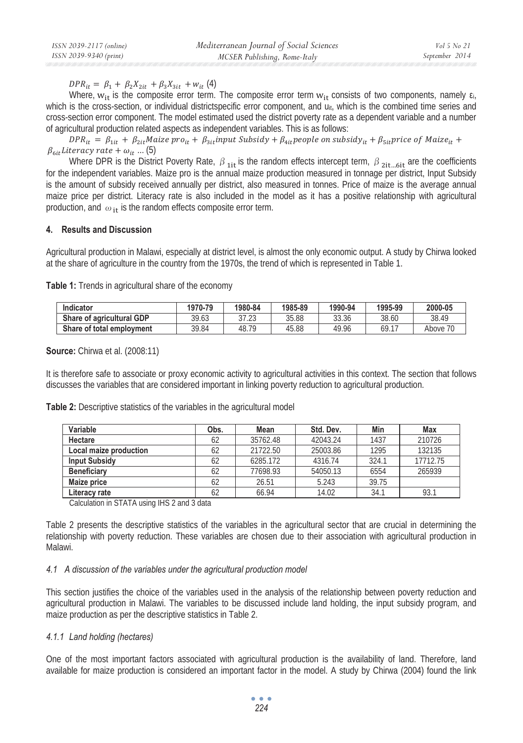$DPR_{it} = \beta_1 + \beta_2 X_{2it} + \beta_3 X_{3it} + w_{it}$  (4)

Where,  $w_{it}$  is the composite error term. The composite error term  $w_{it}$  consists of two components, namely  $\varepsilon_i$ , which is the cross-section, or individual districtspecific error component, and u<sub>it</sub>, which is the combined time series and cross-section error component. The model estimated used the district poverty rate as a dependent variable and a number of agricultural production related aspects as independent variables. This is as follows:

 $DPR_{it} = \beta_{1it} + \beta_{2it}$ Maize pro $_{it} + \beta_{3it}$ input Subsidy +  $\beta_{4it}$ people on subsidy $_{it} + \beta_{5it}$ price of Maize $_{it}$  +  $\beta_{\text{6it}}$ Literacy rate +  $\omega_{it}$  ... (5)

Where DPR is the District Poverty Rate,  $\beta_{1i}$  is the random effects intercept term,  $\beta_{2i}$ <sub>Lifer</sub> are the coefficients for the independent variables. Maize pro is the annual maize production measured in tonnage per district, Input Subsidy is the amount of subsidy received annually per district, also measured in tonnes. Price of maize is the average annual maize price per district. Literacy rate is also included in the model as it has a positive relationship with agricultural production, and  $\omega_{i}$  is the random effects composite error term.

#### **4. Results and Discussion**

Agricultural production in Malawi, especially at district level, is almost the only economic output. A study by Chirwa looked at the share of agriculture in the country from the 1970s, the trend of which is represented in Table 1.

**Table 1:** Trends in agricultural share of the economy

| Indicator                 | 1970-79 | 1980-84          | 1985-89 | 1990-94 | 1995-99 | 2000-05     |
|---------------------------|---------|------------------|---------|---------|---------|-------------|
| Share of agricultural GDP | 39.63   | 27.22<br>ن ۱.۷ د | 35.88   | 33.36   | 38.60   | 38.49       |
| Share of total employment | 39.84   | 48.79            | 45.88   | 49.96   | 69.17   | 70<br>Above |

#### **Source:** Chirwa et al. (2008:11)

It is therefore safe to associate or proxy economic activity to agricultural activities in this context. The section that follows discusses the variables that are considered important in linking poverty reduction to agricultural production.

| Table 2: Descriptive statistics of the variables in the agricultural model |  |  |
|----------------------------------------------------------------------------|--|--|
|----------------------------------------------------------------------------|--|--|

| Variable               | Obs. | Mean     | Std. Dev. | Min   | Max      |
|------------------------|------|----------|-----------|-------|----------|
| Hectare                | 62   | 35762.48 | 42043.24  | 1437  | 210726   |
| Local maize production | 62   | 21722.50 | 25003.86  | 1295  | 132135   |
| <b>Input Subsidy</b>   | 62   | 6285.172 | 4316.74   | 324.1 | 17712.75 |
| <b>Beneficiary</b>     | 62   | 77698.93 | 54050.13  | 6554  | 265939   |
| Maize price            | 62   | 26.51    | 5.243     | 39.75 |          |
| Literacy rate          | 62   | 66.94    | 14.02     | 34.1  | 93.      |

Calculation in STATA using IHS 2 and 3 data

Table 2 presents the descriptive statistics of the variables in the agricultural sector that are crucial in determining the relationship with poverty reduction. These variables are chosen due to their association with agricultural production in Malawi.

#### *4.1 A discussion of the variables under the agricultural production model*

This section justifies the choice of the variables used in the analysis of the relationship between poverty reduction and agricultural production in Malawi. The variables to be discussed include land holding, the input subsidy program, and maize production as per the descriptive statistics in Table 2.

#### *4.1.1 Land holding (hectares)*

One of the most important factors associated with agricultural production is the availability of land. Therefore, land available for maize production is considered an important factor in the model. A study by Chirwa (2004) found the link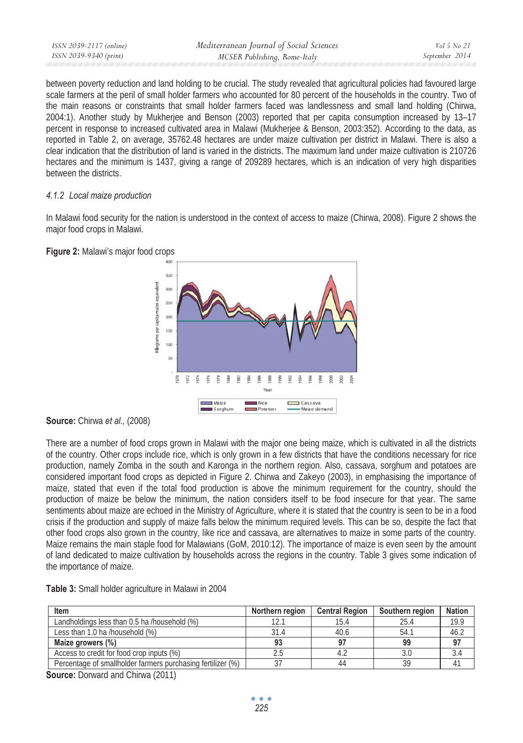| ISSN 2039-9340 (print)<br>September 2014 |  |
|------------------------------------------|--|
| MCSER Publishing, Rome-Italy             |  |

between poverty reduction and land holding to be crucial. The study revealed that agricultural policies had favoured large scale farmers at the peril of small holder farmers who accounted for 80 percent of the households in the country. Two of the main reasons or constraints that small holder farmers faced was landlessness and small land holding (Chirwa, 2004:1). Another study by Mukherjee and Benson (2003) reported that per capita consumption increased by 13–17 percent in response to increased cultivated area in Malawi (Mukherjee & Benson, 2003:352). According to the data, as reported in Table 2, on average, 35762.48 hectares are under maize cultivation per district in Malawi. There is also a clear indication that the distribution of land is varied in the districts. The maximum land under maize cultivation is 210726 hectares and the minimum is 1437, giving a range of 209289 hectares, which is an indication of very high disparities between the districts.

#### *4.1.2 Local maize production*

In Malawi food security for the nation is understood in the context of access to maize (Chirwa, 2008). Figure 2 shows the major food crops in Malawi.





There are a number of food crops grown in Malawi with the major one being maize, which is cultivated in all the districts of the country. Other crops include rice, which is only grown in a few districts that have the conditions necessary for rice production, namely Zomba in the south and Karonga in the northern region. Also, cassava, sorghum and potatoes are considered important food crops as depicted in Figure 2. Chirwa and Zakeyo (2003), in emphasising the importance of maize, stated that even if the total food production is above the minimum requirement for the country, should the production of maize be below the minimum, the nation considers itself to be food insecure for that year. The same sentiments about maize are echoed in the Ministry of Agriculture, where it is stated that the country is seen to be in a food crisis if the production and supply of maize falls below the minimum required levels. This can be so, despite the fact that other food crops also grown in the country, like rice and cassava, are alternatives to maize in some parts of the country. Maize remains the main staple food for Malawians (GoM, 2010:12). The importance of maize is even seen by the amount of land dedicated to maize cultivation by households across the regions in the country. Table 3 gives some indication of the importance of maize.

|  |  |  |  |  | Table 3: Small holder agriculture in Malawi in 2004 |  |  |  |  |
|--|--|--|--|--|-----------------------------------------------------|--|--|--|--|
|--|--|--|--|--|-----------------------------------------------------|--|--|--|--|

| Item                                                        | Northern region | <b>Central Region</b> | Southern region | <b>Nation</b> |
|-------------------------------------------------------------|-----------------|-----------------------|-----------------|---------------|
| Landholdings less than 0.5 ha /household (%)                |                 | 15.4                  | 25.4            | 19.9          |
| Less than 1.0 ha /household (%)                             | 31.4            | 40.6                  | 54.             | 46.2          |
| Maize growers (%)                                           | 93              |                       | 99              | 97            |
| Access to credit for food crop inputs (%)                   |                 |                       |                 |               |
| Percentage of smallholder farmers purchasing fertilizer (%) |                 | 44                    |                 |               |

**Source:** Dorward and Chirwa (2011)

**Source:** Chirwa *et al.,* (2008)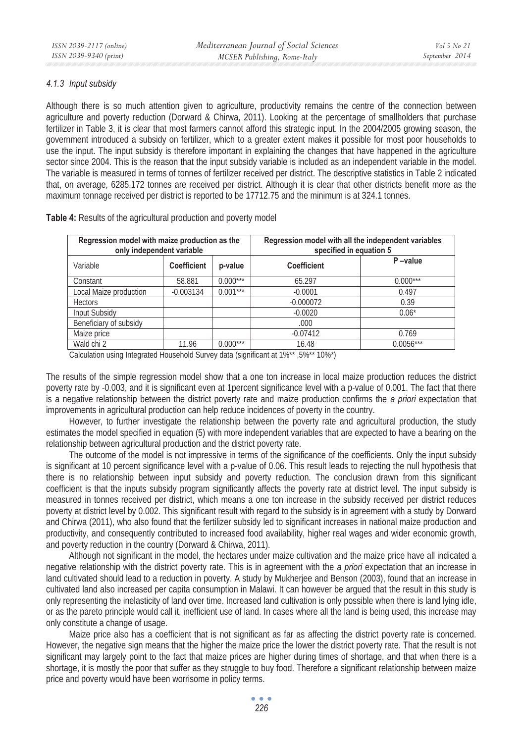## *4.1.3 Input subsidy*

Although there is so much attention given to agriculture, productivity remains the centre of the connection between agriculture and poverty reduction (Dorward & Chirwa, 2011). Looking at the percentage of smallholders that purchase fertilizer in Table 3, it is clear that most farmers cannot afford this strategic input. In the 2004/2005 growing season, the government introduced a subsidy on fertilizer, which to a greater extent makes it possible for most poor households to use the input. The input subsidy is therefore important in explaining the changes that have happened in the agriculture sector since 2004. This is the reason that the input subsidy variable is included as an independent variable in the model. The variable is measured in terms of tonnes of fertilizer received per district. The descriptive statistics in Table 2 indicated that, on average, 6285.172 tonnes are received per district. Although it is clear that other districts benefit more as the maximum tonnage received per district is reported to be 17712.75 and the minimum is at 324.1 tonnes.

| Regression model with maize production as the<br>only independent variable |                    |            | Regression model with all the independent variables<br>specified in equation 5 |             |
|----------------------------------------------------------------------------|--------------------|------------|--------------------------------------------------------------------------------|-------------|
| Variable                                                                   | <b>Coefficient</b> | p-value    | <b>Coefficient</b>                                                             | P-value     |
| Constant                                                                   | 58.881             | $0.000***$ | 65.297                                                                         | $0.000***$  |
| Local Maize production                                                     | $-0.003134$        | $0.001***$ | $-0.0001$                                                                      | 0.497       |
| <b>Hectors</b>                                                             |                    |            | $-0.000072$                                                                    | 0.39        |
| <b>Input Subsidy</b>                                                       |                    |            | $-0.0020$                                                                      | $0.06*$     |
| Beneficiary of subsidy                                                     |                    |            | .000.                                                                          |             |
| Maize price                                                                |                    |            | $-0.07412$                                                                     | 0.769       |
| Wald chi 2                                                                 | 11.96              | $0.000***$ | 16.48                                                                          | $0.0056***$ |

**Table 4:** Results of the agricultural production and poverty model

Calculation using Integrated Household Survey data (significant at 1%\*\* ,5%\*\* 10%\*)

The results of the simple regression model show that a one ton increase in local maize production reduces the district poverty rate by -0.003, and it is significant even at 1percent significance level with a p-value of 0.001. The fact that there is a negative relationship between the district poverty rate and maize production confirms the *a priori* expectation that improvements in agricultural production can help reduce incidences of poverty in the country.

However, to further investigate the relationship between the poverty rate and agricultural production, the study estimates the model specified in equation (5) with more independent variables that are expected to have a bearing on the relationship between agricultural production and the district poverty rate.

The outcome of the model is not impressive in terms of the significance of the coefficients. Only the input subsidy is significant at 10 percent significance level with a p-value of 0.06. This result leads to rejecting the null hypothesis that there is no relationship between input subsidy and poverty reduction. The conclusion drawn from this significant coefficient is that the inputs subsidy program significantly affects the poverty rate at district level. The input subsidy is measured in tonnes received per district, which means a one ton increase in the subsidy received per district reduces poverty at district level by 0.002. This significant result with regard to the subsidy is in agreement with a study by Dorward and Chirwa (2011), who also found that the fertilizer subsidy led to significant increases in national maize production and productivity, and consequently contributed to increased food availability, higher real wages and wider economic growth, and poverty reduction in the country (Dorward & Chirwa, 2011).

Although not significant in the model, the hectares under maize cultivation and the maize price have all indicated a negative relationship with the district poverty rate. This is in agreement with the *a priori* expectation that an increase in land cultivated should lead to a reduction in poverty. A study by Mukherjee and Benson (2003), found that an increase in cultivated land also increased per capita consumption in Malawi. It can however be argued that the result in this study is only representing the inelasticity of land over time. Increased land cultivation is only possible when there is land lying idle, or as the pareto principle would call it, inefficient use of land. In cases where all the land is being used, this increase may only constitute a change of usage.

Maize price also has a coefficient that is not significant as far as affecting the district poverty rate is concerned. However, the negative sign means that the higher the maize price the lower the district poverty rate. That the result is not significant may largely point to the fact that maize prices are higher during times of shortage, and that when there is a shortage, it is mostly the poor that suffer as they struggle to buy food. Therefore a significant relationship between maize price and poverty would have been worrisome in policy terms.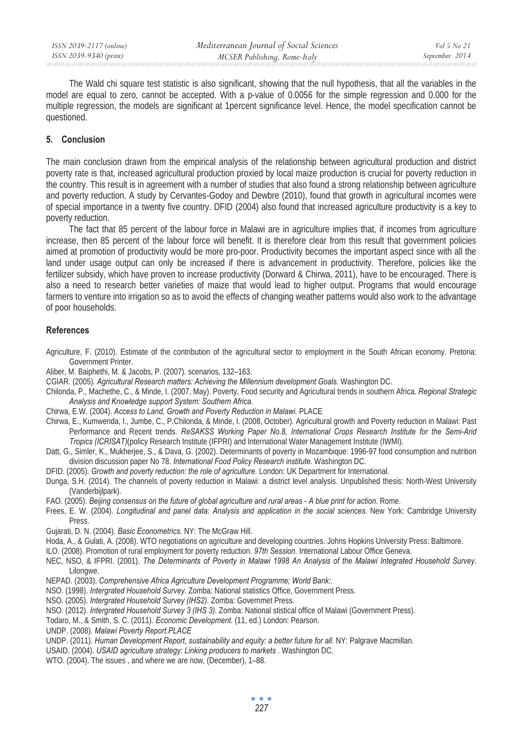The Wald chi square test statistic is also significant, showing that the null hypothesis, that all the variables in the model are equal to zero, cannot be accepted. With a p-value of 0.0056 for the simple regression and 0.000 for the multiple regression, the models are significant at 1percent significance level. Hence, the model specification cannot be questioned.

#### **5. Conclusion**

The main conclusion drawn from the empirical analysis of the relationship between agricultural production and district poverty rate is that, increased agricultural production proxied by local maize production is crucial for poverty reduction in the country. This result is in agreement with a number of studies that also found a strong relationship between agriculture and poverty reduction. A study by Cervantes-Godoy and Dewbre (2010), found that growth in agricultural incomes were of special importance in a twenty five country. DFID (2004) also found that increased agriculture productivity is a key to poverty reduction.

The fact that 85 percent of the labour force in Malawi are in agriculture implies that, if incomes from agriculture increase, then 85 percent of the labour force will benefit. It is therefore clear from this result that government policies aimed at promotion of productivity would be more pro-poor. Productivity becomes the important aspect since with all the land under usage output can only be increased if there is advancement in productivity. Therefore, policies like the fertilizer subsidy, which have proven to increase productivity (Dorward & Chirwa, 2011), have to be encouraged. There is also a need to research better varieties of maize that would lead to higher output. Programs that would encourage farmers to venture into irrigation so as to avoid the effects of changing weather patterns would also work to the advantage of poor households.

### **References**

- Agriculture, F. (2010). Estimate of the contribution of the agricultural sector to employment in the South African economy. Pretoria: Government Printer.
- Aliber, M. Baiphethi, M. & Jacobs, P. (2007). scenarios, 132–163.
- CGIAR. (2005). *Agricultural Research matters: Achieving the Millennium development Goals.* Washington DC.
- Chilonda, P., Machethe, C., & Minde, I. (2007, May). Poverty, Food security and Agricultural trends in southern Africa. *Regional Strategic Analysis and Knowledge support System: Southern Africa*.
- Chirwa, E.W. (2004). *Access to Land, Growth and Poverty Reduction in Malawi.* PLACE
- Chirwa, E., Kumwenda, I., Jumbe, C., P.Chilonda, & Minde, I. (2008, October). Agricultural growth and Poverty reduction in Malawi: Past Performance and Recent trends. *ReSAKSS Working Paper No.8, International Crops Research Institute for the Semi-Arid Tropics (ICRISAT)*(policy Research Institute (IFPRI) and International Water Management Institute (IWMI).
- Datt, G., Simler, K., Mukherjee, S., & Dava, G. (2002). Determinants of poverty in Mozambique: 1996-97 food consumption and nutrition division discussion paper No 78. *International Food Policy Research institute.* Washington DC.
- DFID. (2005). *Growth and poverty reduction: the role of agriculture.* London: UK Department for International.
- Dunga, S.H. (2014). The channels of poverty reduction in Malawi: a district level analysis. Unpublished thesis: North-West University (Vanderbijlpark).
- FAO. (2005). *Beijing consensus on the future of global agriculture and rural areas A blue print for action.* Rome.
- Frees, E. W. (2004). *Longitudinal and panel data: Analysis and application in the social sciences.* New York: Cambridge University Press.
- Gujarati, D. N. (2004). *Basic Econometrics.* NY: The McGraw Hill.
- Hoda, A., & Gulati, A. (2008). WTO negotiations on agriculture and developing countries. Johns Hopkins University Press: Baltimore.

ILO. (2008). Promotion of rural employment for poverty reduction. *97th Session.* International Labour Office Geneva.

- NEC, NSO, & IFPRI. (2001). *The Determinants of Poverty in Malawi 1998 An Analysis of the Malawi Integrated Household Survey.* Lilongwe.
- NEPAD. (2003). *Comprehensive Africa Agriculture Development Programme; World Bank:.*
- NSO. (1998). *Intergrated Household Survey.* Zomba: National statistics Office, Government Press.
- NSO. (2005). *Intergrated Household Survey (IHS2).* Zomba: Governmet Press.
- NSO. (2012). *Intergrated Household Survey 3 (IHS 3).* Zomba: National stistical office of Malawi (Government Press).
- Todaro, M., & Smith, S. C. (2011). *Economic Development.* (11, ed.) London: Pearson.
- UNDP. (2008). *Malawi Poverty Report.PLACE*
- UNDP. (2011). *Human Development Report, sustainability and equity: a better future for all.* NY: Palgrave Macmillan.
- USAID. (2004). *USAID agriculture strategy: Linking producers to markets .* Washington DC.
- WTO. (2004). The issues , and where we are now, (December), 1–88.